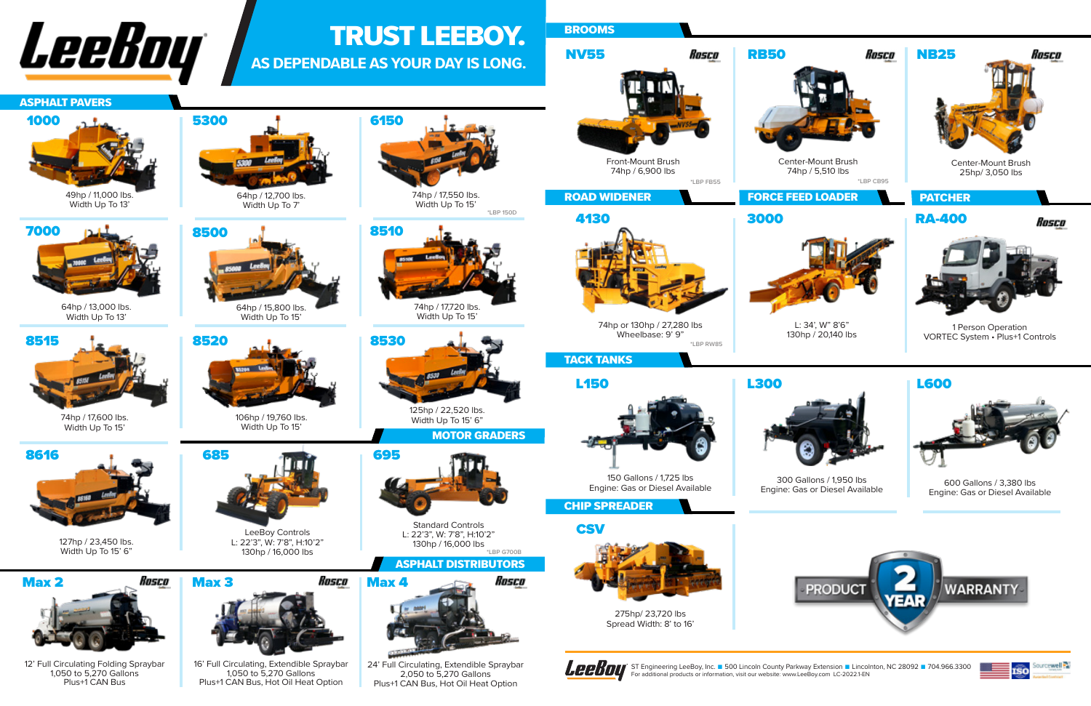

74hp / 17,600 lbs. Width Up To 15'



Width Up To 15'



127hp / 23,450 lbs. Width Up To 15' 6"

> 16' Full Circulating, Extendible Spraybar 1,050 to 5,270 Gallons Plus+1 CAN Bus, Hot Oil Heat Option

8616



Width Up To 15'



64hp / 13,000 lbs. Width Up To 13'



106hp / 19,760 lbs. Width Up To 15'



Standard Controls L: 22'3", W: 7'8", H:10'2" 130hp / 16,000 lbs **\*LBP G700B** 74hp or 130hp / 27,280 lbs Wheelbase: 9' 9" **\*LBP RW85**



49hp / 11,000 lbs. Width Up To 13'





L: 22'3", W: 7'8", H:10'2" 130hp / 16,000 lbs



NV55

Rosco

Width Up To 15' 6" MOTOR GRADERS



600 Gallons / 3,380 lbs Engine: Gas or Diesel Available







300 Gallons / 1,950 lbs Engine: Gas or Diesel Available



12' Full Circulating Folding Spraybar 1,050 to 5,270 Gallons Plus+1 CAN Bus







## L150



150 Gallons / 1,725 lbs Engine: Gas or Diesel Available



# TRUST LEEBOY.

**AS DEPENDABLE AS YOUR DAY IS LONG.**

#### ASPHALT PAVERS

TACK TANKS

### CHIP SPREADER





24' Full Circulating, Extendible Spraybar 2,050 to 5,270 Gallons Plus+1 CAN Bus, Hot Oil Heat Option

## BROOMS

ASPHALT DISTRIBUTORS





6150



Width Up To 15' **\*LBP 150D**



275hp/ 23,720 lbs Spread Width: 8' to 16'